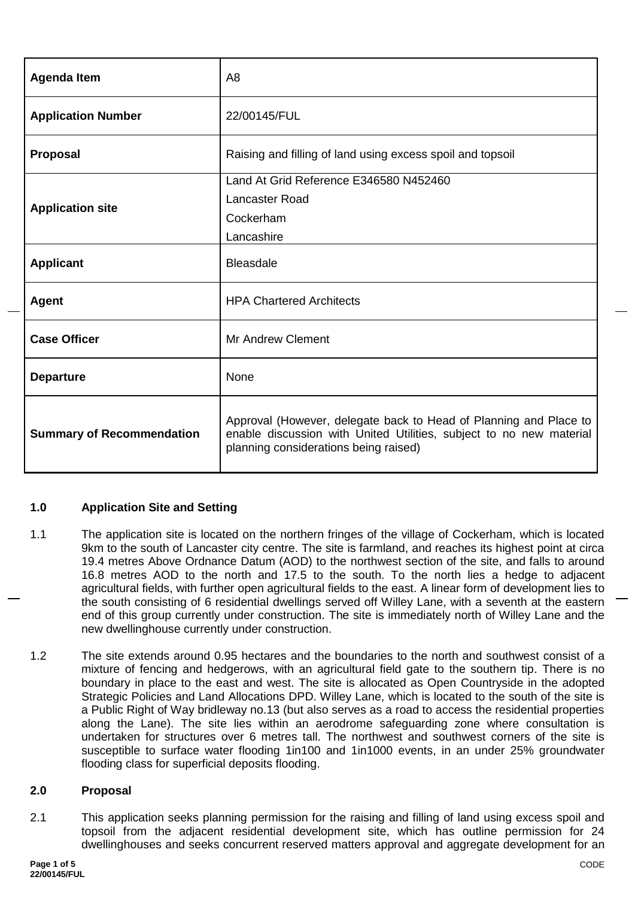| <b>Agenda Item</b>               | A <sub>8</sub>                                                                                                                                                                    |  |
|----------------------------------|-----------------------------------------------------------------------------------------------------------------------------------------------------------------------------------|--|
| <b>Application Number</b>        | 22/00145/FUL                                                                                                                                                                      |  |
| <b>Proposal</b>                  | Raising and filling of land using excess spoil and topsoil                                                                                                                        |  |
|                                  | Land At Grid Reference E346580 N452460                                                                                                                                            |  |
|                                  | Lancaster Road                                                                                                                                                                    |  |
| <b>Application site</b>          | Cockerham                                                                                                                                                                         |  |
|                                  | Lancashire                                                                                                                                                                        |  |
| <b>Applicant</b>                 | <b>Bleasdale</b>                                                                                                                                                                  |  |
| <b>Agent</b>                     | <b>HPA Chartered Architects</b>                                                                                                                                                   |  |
| <b>Case Officer</b>              | <b>Mr Andrew Clement</b>                                                                                                                                                          |  |
| <b>Departure</b>                 | None                                                                                                                                                                              |  |
| <b>Summary of Recommendation</b> | Approval (However, delegate back to Head of Planning and Place to<br>enable discussion with United Utilities, subject to no new material<br>planning considerations being raised) |  |

# **1.0 Application Site and Setting**

- 1.1 The application site is located on the northern fringes of the village of Cockerham, which is located 9km to the south of Lancaster city centre. The site is farmland, and reaches its highest point at circa 19.4 metres Above Ordnance Datum (AOD) to the northwest section of the site, and falls to around 16.8 metres AOD to the north and 17.5 to the south. To the north lies a hedge to adjacent agricultural fields, with further open agricultural fields to the east. A linear form of development lies to the south consisting of 6 residential dwellings served off Willey Lane, with a seventh at the eastern end of this group currently under construction. The site is immediately north of Willey Lane and the new dwellinghouse currently under construction.
- 1.2 The site extends around 0.95 hectares and the boundaries to the north and southwest consist of a mixture of fencing and hedgerows, with an agricultural field gate to the southern tip. There is no boundary in place to the east and west. The site is allocated as Open Countryside in the adopted Strategic Policies and Land Allocations DPD. Willey Lane, which is located to the south of the site is a Public Right of Way bridleway no.13 (but also serves as a road to access the residential properties along the Lane). The site lies within an aerodrome safeguarding zone where consultation is undertaken for structures over 6 metres tall. The northwest and southwest corners of the site is susceptible to surface water flooding 1in100 and 1in1000 events, in an under 25% groundwater flooding class for superficial deposits flooding.

# **2.0 Proposal**

2.1 This application seeks planning permission for the raising and filling of land using excess spoil and topsoil from the adjacent residential development site, which has outline permission for 24 dwellinghouses and seeks concurrent reserved matters approval and aggregate development for an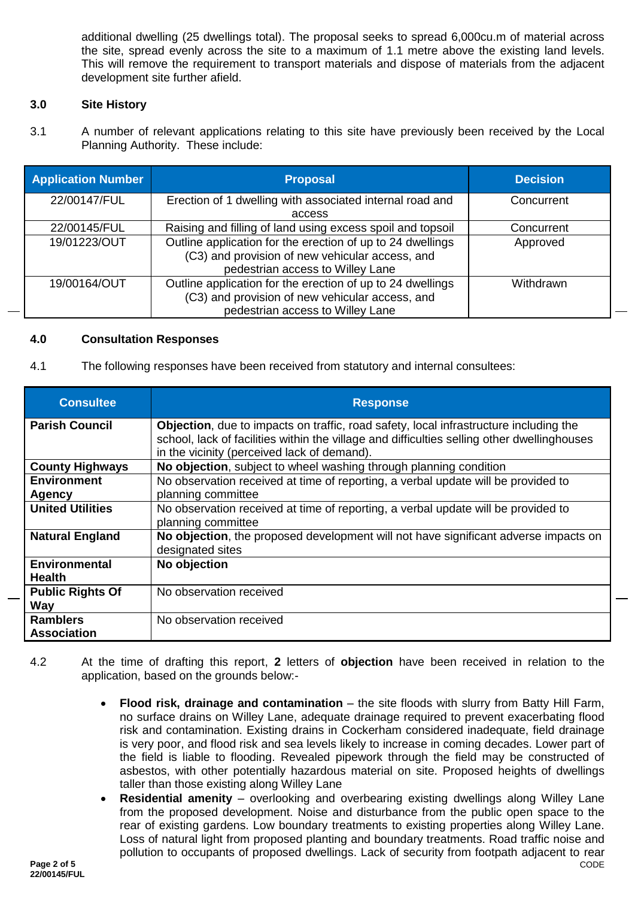additional dwelling (25 dwellings total). The proposal seeks to spread 6,000cu.m of material across the site, spread evenly across the site to a maximum of 1.1 metre above the existing land levels. This will remove the requirement to transport materials and dispose of materials from the adjacent development site further afield.

# **3.0 Site History**

3.1 A number of relevant applications relating to this site have previously been received by the Local Planning Authority. These include:

| <b>Application Number</b> | <b>Proposal</b>                                            | <b>Decision</b> |
|---------------------------|------------------------------------------------------------|-----------------|
| 22/00147/FUL              | Erection of 1 dwelling with associated internal road and   | Concurrent      |
|                           | access                                                     |                 |
| 22/00145/FUL              | Raising and filling of land using excess spoil and topsoil | Concurrent      |
| 19/01223/OUT              | Outline application for the erection of up to 24 dwellings | Approved        |
|                           | (C3) and provision of new vehicular access, and            |                 |
|                           | pedestrian access to Willey Lane                           |                 |
| 19/00164/OUT              | Outline application for the erection of up to 24 dwellings | Withdrawn       |
|                           | (C3) and provision of new vehicular access, and            |                 |
|                           | pedestrian access to Willey Lane                           |                 |

### **4.0 Consultation Responses**

4.1 The following responses have been received from statutory and internal consultees:

| <b>Consultee</b>                      | <b>Response</b>                                                                                                                                                                                                                             |
|---------------------------------------|---------------------------------------------------------------------------------------------------------------------------------------------------------------------------------------------------------------------------------------------|
| <b>Parish Council</b>                 | <b>Objection</b> , due to impacts on traffic, road safety, local infrastructure including the<br>school, lack of facilities within the village and difficulties selling other dwellinghouses<br>in the vicinity (perceived lack of demand). |
| <b>County Highways</b>                | No objection, subject to wheel washing through planning condition                                                                                                                                                                           |
| <b>Environment</b>                    | No observation received at time of reporting, a verbal update will be provided to                                                                                                                                                           |
| Agency                                | planning committee                                                                                                                                                                                                                          |
| <b>United Utilities</b>               | No observation received at time of reporting, a verbal update will be provided to<br>planning committee                                                                                                                                     |
| <b>Natural England</b>                | No objection, the proposed development will not have significant adverse impacts on<br>designated sites                                                                                                                                     |
| <b>Environmental</b><br><b>Health</b> | No objection                                                                                                                                                                                                                                |
| <b>Public Rights Of</b><br>Way        | No observation received                                                                                                                                                                                                                     |
| <b>Ramblers</b><br><b>Association</b> | No observation received                                                                                                                                                                                                                     |

- 4.2 At the time of drafting this report, **2** letters of **objection** have been received in relation to the application, based on the grounds below:-
	- **Flood risk, drainage and contamination** the site floods with slurry from Batty Hill Farm, no surface drains on Willey Lane, adequate drainage required to prevent exacerbating flood risk and contamination. Existing drains in Cockerham considered inadequate, field drainage is very poor, and flood risk and sea levels likely to increase in coming decades. Lower part of the field is liable to flooding. Revealed pipework through the field may be constructed of asbestos, with other potentially hazardous material on site. Proposed heights of dwellings taller than those existing along Willey Lane
	- **Residential amenity** overlooking and overbearing existing dwellings along Willey Lane from the proposed development. Noise and disturbance from the public open space to the rear of existing gardens. Low boundary treatments to existing properties along Willey Lane. Loss of natural light from proposed planting and boundary treatments. Road traffic noise and pollution to occupants of proposed dwellings. Lack of security from footpath adjacent to rear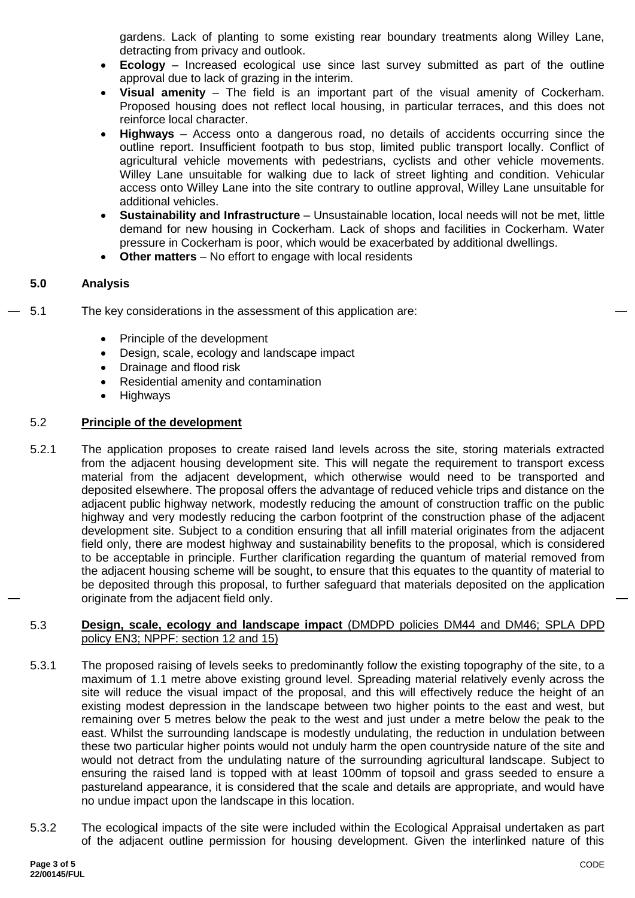gardens. Lack of planting to some existing rear boundary treatments along Willey Lane, detracting from privacy and outlook.

- **Ecology** Increased ecological use since last survey submitted as part of the outline approval due to lack of grazing in the interim.
- **Visual amenity** The field is an important part of the visual amenity of Cockerham. Proposed housing does not reflect local housing, in particular terraces, and this does not reinforce local character.
- **Highways** Access onto a dangerous road, no details of accidents occurring since the outline report. Insufficient footpath to bus stop, limited public transport locally. Conflict of agricultural vehicle movements with pedestrians, cyclists and other vehicle movements. Willey Lane unsuitable for walking due to lack of street lighting and condition. Vehicular access onto Willey Lane into the site contrary to outline approval, Willey Lane unsuitable for additional vehicles.
- **Sustainability and Infrastructure** Unsustainable location, local needs will not be met, little demand for new housing in Cockerham. Lack of shops and facilities in Cockerham. Water pressure in Cockerham is poor, which would be exacerbated by additional dwellings.
- **Other matters** No effort to engage with local residents

# **5.0 Analysis**

- 5.1 The key considerations in the assessment of this application are:
	- Principle of the development
	- Design, scale, ecology and landscape impact
	- Drainage and flood risk
	- Residential amenity and contamination
	- Highways

# 5.2 **Principle of the development**

5.2.1 The application proposes to create raised land levels across the site, storing materials extracted from the adjacent housing development site. This will negate the requirement to transport excess material from the adjacent development, which otherwise would need to be transported and deposited elsewhere. The proposal offers the advantage of reduced vehicle trips and distance on the adjacent public highway network, modestly reducing the amount of construction traffic on the public highway and very modestly reducing the carbon footprint of the construction phase of the adjacent development site. Subject to a condition ensuring that all infill material originates from the adjacent field only, there are modest highway and sustainability benefits to the proposal, which is considered to be acceptable in principle. Further clarification regarding the quantum of material removed from the adjacent housing scheme will be sought, to ensure that this equates to the quantity of material to be deposited through this proposal, to further safeguard that materials deposited on the application originate from the adjacent field only.

# 5.3 **Design, scale, ecology and landscape impact** (DMDPD policies DM44 and DM46; SPLA DPD policy EN3; NPPF: section 12 and 15)

- 5.3.1 The proposed raising of levels seeks to predominantly follow the existing topography of the site, to a maximum of 1.1 metre above existing ground level. Spreading material relatively evenly across the site will reduce the visual impact of the proposal, and this will effectively reduce the height of an existing modest depression in the landscape between two higher points to the east and west, but remaining over 5 metres below the peak to the west and just under a metre below the peak to the east. Whilst the surrounding landscape is modestly undulating, the reduction in undulation between these two particular higher points would not unduly harm the open countryside nature of the site and would not detract from the undulating nature of the surrounding agricultural landscape. Subject to ensuring the raised land is topped with at least 100mm of topsoil and grass seeded to ensure a pastureland appearance, it is considered that the scale and details are appropriate, and would have no undue impact upon the landscape in this location.
- 5.3.2 The ecological impacts of the site were included within the Ecological Appraisal undertaken as part of the adjacent outline permission for housing development. Given the interlinked nature of this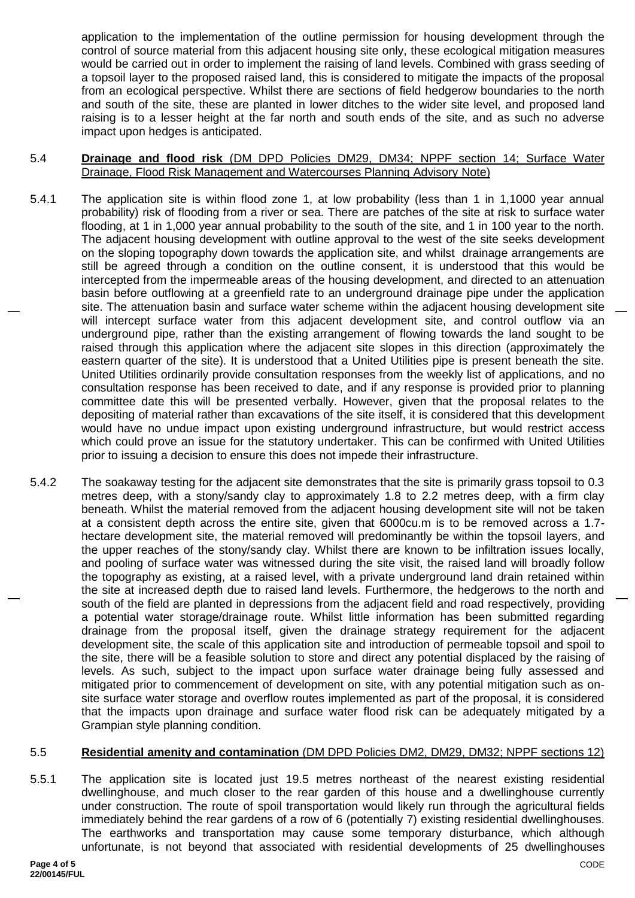application to the implementation of the outline permission for housing development through the control of source material from this adjacent housing site only, these ecological mitigation measures would be carried out in order to implement the raising of land levels. Combined with grass seeding of a topsoil layer to the proposed raised land, this is considered to mitigate the impacts of the proposal from an ecological perspective. Whilst there are sections of field hedgerow boundaries to the north and south of the site, these are planted in lower ditches to the wider site level, and proposed land raising is to a lesser height at the far north and south ends of the site, and as such no adverse impact upon hedges is anticipated.

### 5.4 **Drainage and flood risk** (DM DPD Policies DM29, DM34; NPPF section 14; Surface Water Drainage, Flood Risk Management and Watercourses Planning Advisory Note)

- 5.4.1 The application site is within flood zone 1, at low probability (less than 1 in 1,1000 year annual probability) risk of flooding from a river or sea. There are patches of the site at risk to surface water flooding, at 1 in 1,000 year annual probability to the south of the site, and 1 in 100 year to the north. The adjacent housing development with outline approval to the west of the site seeks development on the sloping topography down towards the application site, and whilst drainage arrangements are still be agreed through a condition on the outline consent, it is understood that this would be intercepted from the impermeable areas of the housing development, and directed to an attenuation basin before outflowing at a greenfield rate to an underground drainage pipe under the application site. The attenuation basin and surface water scheme within the adjacent housing development site will intercept surface water from this adjacent development site, and control outflow via an underground pipe, rather than the existing arrangement of flowing towards the land sought to be raised through this application where the adjacent site slopes in this direction (approximately the eastern quarter of the site). It is understood that a United Utilities pipe is present beneath the site. United Utilities ordinarily provide consultation responses from the weekly list of applications, and no consultation response has been received to date, and if any response is provided prior to planning committee date this will be presented verbally. However, given that the proposal relates to the depositing of material rather than excavations of the site itself, it is considered that this development would have no undue impact upon existing underground infrastructure, but would restrict access which could prove an issue for the statutory undertaker. This can be confirmed with United Utilities prior to issuing a decision to ensure this does not impede their infrastructure.
- 5.4.2 The soakaway testing for the adjacent site demonstrates that the site is primarily grass topsoil to 0.3 metres deep, with a stony/sandy clay to approximately 1.8 to 2.2 metres deep, with a firm clay beneath. Whilst the material removed from the adjacent housing development site will not be taken at a consistent depth across the entire site, given that 6000cu.m is to be removed across a 1.7 hectare development site, the material removed will predominantly be within the topsoil layers, and the upper reaches of the stony/sandy clay. Whilst there are known to be infiltration issues locally, and pooling of surface water was witnessed during the site visit, the raised land will broadly follow the topography as existing, at a raised level, with a private underground land drain retained within the site at increased depth due to raised land levels. Furthermore, the hedgerows to the north and south of the field are planted in depressions from the adjacent field and road respectively, providing a potential water storage/drainage route. Whilst little information has been submitted regarding drainage from the proposal itself, given the drainage strategy requirement for the adjacent development site, the scale of this application site and introduction of permeable topsoil and spoil to the site, there will be a feasible solution to store and direct any potential displaced by the raising of levels. As such, subject to the impact upon surface water drainage being fully assessed and mitigated prior to commencement of development on site, with any potential mitigation such as onsite surface water storage and overflow routes implemented as part of the proposal, it is considered that the impacts upon drainage and surface water flood risk can be adequately mitigated by a Grampian style planning condition.

# 5.5 **Residential amenity and contamination** (DM DPD Policies DM2, DM29, DM32; NPPF sections 12)

5.5.1 The application site is located just 19.5 metres northeast of the nearest existing residential dwellinghouse, and much closer to the rear garden of this house and a dwellinghouse currently under construction. The route of spoil transportation would likely run through the agricultural fields immediately behind the rear gardens of a row of 6 (potentially 7) existing residential dwellinghouses. The earthworks and transportation may cause some temporary disturbance, which although unfortunate, is not beyond that associated with residential developments of 25 dwellinghouses